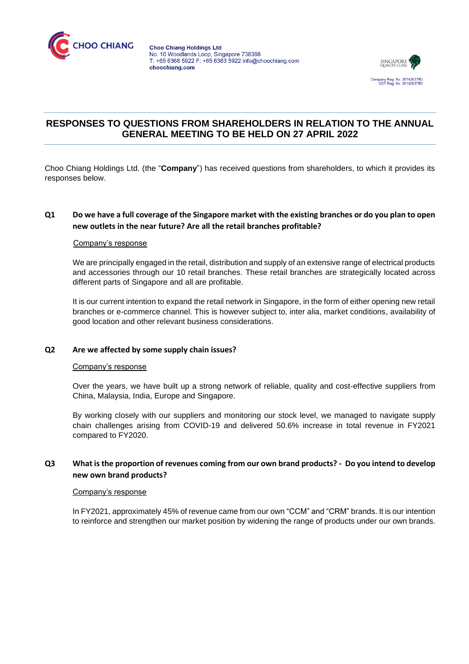



# **RESPONSES TO QUESTIONS FROM SHAREHOLDERS IN RELATION TO THE ANNUAL GENERAL MEETING TO BE HELD ON 27 APRIL 2022**

Choo Chiang Holdings Ltd. (the "**Company**") has received questions from shareholders, to which it provides its responses below.

### **Q1 Do we have a full coverage of the Singapore market with the existing branches or do you plan to open new outlets in the near future? Are all the retail branches profitable?**

### Company's response

We are principally engaged in the retail, distribution and supply of an extensive range of electrical products and accessories through our 10 retail branches. These retail branches are strategically located across different parts of Singapore and all are profitable.

It is our current intention to expand the retail network in Singapore, in the form of either opening new retail branches or e-commerce channel. This is however subject to, inter alia, market conditions, availability of good location and other relevant business considerations.

### **Q2 Are we affected by some supply chain issues?**

### Company's response

Over the years, we have built up a strong network of reliable, quality and cost-effective suppliers from China, Malaysia, India, Europe and Singapore.

By working closely with our suppliers and monitoring our stock level, we managed to navigate supply chain challenges arising from COVID-19 and delivered 50.6% increase in total revenue in FY2021 compared to FY2020.

# **Q3 What is the proportion of revenues coming from our own brand products? - Do you intend to develop new own brand products?**

#### Company's response

In FY2021, approximately 45% of revenue came from our own "CCM" and "CRM" brands. It is our intention to reinforce and strengthen our market position by widening the range of products under our own brands.